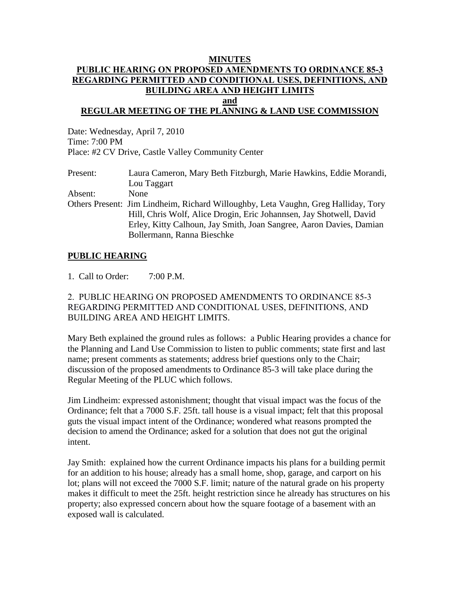#### **MINUTES PUBLIC HEARING ON PROPOSED AMENDMENTS TO ORDINANCE 85-3 REGARDING PERMITTED AND CONDITIONAL USES, DEFINITIONS, AND BUILDING AREA AND HEIGHT LIMITS and**

# **REGULAR MEETING OF THE PLANNING & LAND USE COMMISSION**

Date: Wednesday, April 7, 2010 Time: 7:00 PM Place: #2 CV Drive, Castle Valley Community Center

Present: Laura Cameron, Mary Beth Fitzburgh, Marie Hawkins, Eddie Morandi, Lou Taggart Absent: None Others Present: Jim Lindheim, Richard Willoughby, Leta Vaughn, Greg Halliday, Tory Hill, Chris Wolf, Alice Drogin, Eric Johannsen, Jay Shotwell, David Erley, Kitty Calhoun, Jay Smith, Joan Sangree, Aaron Davies, Damian Bollermann, Ranna Bieschke

## **PUBLIC HEARING**

1. Call to Order: 7:00 P.M.

2. PUBLIC HEARING ON PROPOSED AMENDMENTS TO ORDINANCE 85-3 REGARDING PERMITTED AND CONDITIONAL USES, DEFINITIONS, AND BUILDING AREA AND HEIGHT LIMITS.

Mary Beth explained the ground rules as follows: a Public Hearing provides a chance for the Planning and Land Use Commission to listen to public comments; state first and last name; present comments as statements; address brief questions only to the Chair; discussion of the proposed amendments to Ordinance 85-3 will take place during the Regular Meeting of the PLUC which follows.

Jim Lindheim: expressed astonishment; thought that visual impact was the focus of the Ordinance; felt that a 7000 S.F. 25ft. tall house is a visual impact; felt that this proposal guts the visual impact intent of the Ordinance; wondered what reasons prompted the decision to amend the Ordinance; asked for a solution that does not gut the original intent.

Jay Smith: explained how the current Ordinance impacts his plans for a building permit for an addition to his house; already has a small home, shop, garage, and carport on his lot; plans will not exceed the 7000 S.F. limit; nature of the natural grade on his property makes it difficult to meet the 25ft. height restriction since he already has structures on his property; also expressed concern about how the square footage of a basement with an exposed wall is calculated.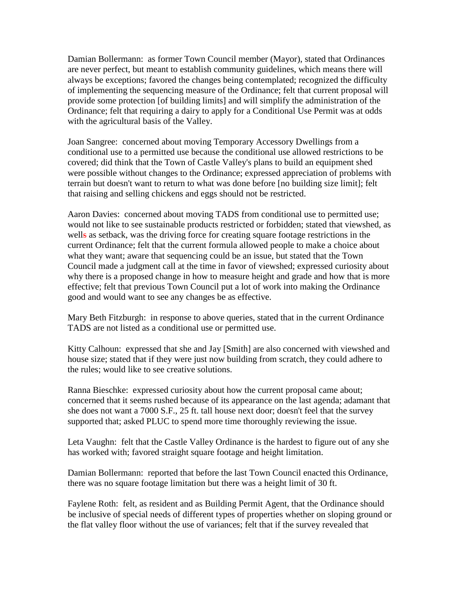Damian Bollermann: as former Town Council member (Mayor), stated that Ordinances are never perfect, but meant to establish community guidelines, which means there will always be exceptions; favored the changes being contemplated; recognized the difficulty of implementing the sequencing measure of the Ordinance; felt that current proposal will provide some protection [of building limits] and will simplify the administration of the Ordinance; felt that requiring a dairy to apply for a Conditional Use Permit was at odds with the agricultural basis of the Valley.

Joan Sangree: concerned about moving Temporary Accessory Dwellings from a conditional use to a permitted use because the conditional use allowed restrictions to be covered; did think that the Town of Castle Valley's plans to build an equipment shed were possible without changes to the Ordinance; expressed appreciation of problems with terrain but doesn't want to return to what was done before [no building size limit]; felt that raising and selling chickens and eggs should not be restricted.

Aaron Davies: concerned about moving TADS from conditional use to permitted use; would not like to see sustainable products restricted or forbidden; stated that viewshed, as wells as setback, was the driving force for creating square footage restrictions in the current Ordinance; felt that the current formula allowed people to make a choice about what they want; aware that sequencing could be an issue, but stated that the Town Council made a judgment call at the time in favor of viewshed; expressed curiosity about why there is a proposed change in how to measure height and grade and how that is more effective; felt that previous Town Council put a lot of work into making the Ordinance good and would want to see any changes be as effective.

Mary Beth Fitzburgh: in response to above queries, stated that in the current Ordinance TADS are not listed as a conditional use or permitted use.

Kitty Calhoun: expressed that she and Jay [Smith] are also concerned with viewshed and house size; stated that if they were just now building from scratch, they could adhere to the rules; would like to see creative solutions.

Ranna Bieschke: expressed curiosity about how the current proposal came about; concerned that it seems rushed because of its appearance on the last agenda; adamant that she does not want a 7000 S.F., 25 ft. tall house next door; doesn't feel that the survey supported that; asked PLUC to spend more time thoroughly reviewing the issue.

Leta Vaughn: felt that the Castle Valley Ordinance is the hardest to figure out of any she has worked with; favored straight square footage and height limitation.

Damian Bollermann: reported that before the last Town Council enacted this Ordinance, there was no square footage limitation but there was a height limit of 30 ft.

Faylene Roth: felt, as resident and as Building Permit Agent, that the Ordinance should be inclusive of special needs of different types of properties whether on sloping ground or the flat valley floor without the use of variances; felt that if the survey revealed that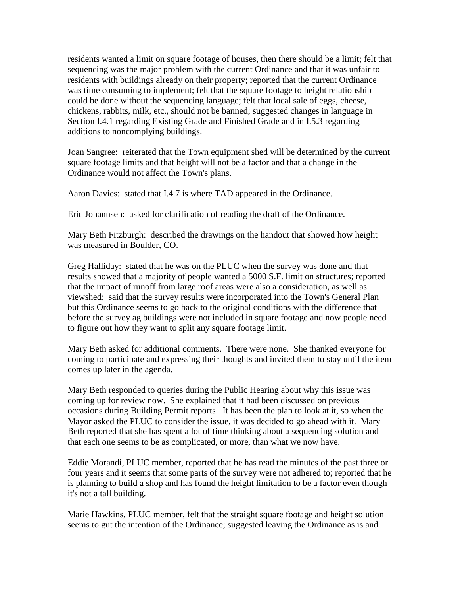residents wanted a limit on square footage of houses, then there should be a limit; felt that sequencing was the major problem with the current Ordinance and that it was unfair to residents with buildings already on their property; reported that the current Ordinance was time consuming to implement; felt that the square footage to height relationship could be done without the sequencing language; felt that local sale of eggs, cheese, chickens, rabbits, milk, etc., should not be banned; suggested changes in language in Section I.4.1 regarding Existing Grade and Finished Grade and in I.5.3 regarding additions to noncomplying buildings.

Joan Sangree: reiterated that the Town equipment shed will be determined by the current square footage limits and that height will not be a factor and that a change in the Ordinance would not affect the Town's plans.

Aaron Davies: stated that I.4.7 is where TAD appeared in the Ordinance.

Eric Johannsen: asked for clarification of reading the draft of the Ordinance.

Mary Beth Fitzburgh: described the drawings on the handout that showed how height was measured in Boulder, CO.

Greg Halliday: stated that he was on the PLUC when the survey was done and that results showed that a majority of people wanted a 5000 S.F. limit on structures; reported that the impact of runoff from large roof areas were also a consideration, as well as viewshed; said that the survey results were incorporated into the Town's General Plan but this Ordinance seems to go back to the original conditions with the difference that before the survey ag buildings were not included in square footage and now people need to figure out how they want to split any square footage limit.

Mary Beth asked for additional comments. There were none. She thanked everyone for coming to participate and expressing their thoughts and invited them to stay until the item comes up later in the agenda.

Mary Beth responded to queries during the Public Hearing about why this issue was coming up for review now. She explained that it had been discussed on previous occasions during Building Permit reports. It has been the plan to look at it, so when the Mayor asked the PLUC to consider the issue, it was decided to go ahead with it. Mary Beth reported that she has spent a lot of time thinking about a sequencing solution and that each one seems to be as complicated, or more, than what we now have.

Eddie Morandi, PLUC member, reported that he has read the minutes of the past three or four years and it seems that some parts of the survey were not adhered to; reported that he is planning to build a shop and has found the height limitation to be a factor even though it's not a tall building.

Marie Hawkins, PLUC member, felt that the straight square footage and height solution seems to gut the intention of the Ordinance; suggested leaving the Ordinance as is and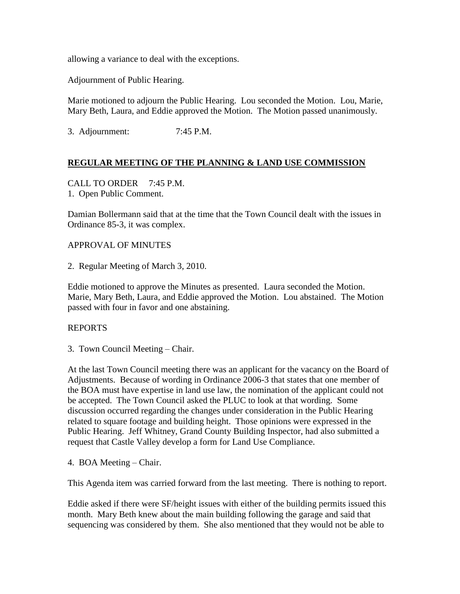allowing a variance to deal with the exceptions.

Adjournment of Public Hearing.

Marie motioned to adjourn the Public Hearing. Lou seconded the Motion. Lou, Marie, Mary Beth, Laura, and Eddie approved the Motion. The Motion passed unanimously.

3. Adjournment: 7:45 P.M.

# **REGULAR MEETING OF THE PLANNING & LAND USE COMMISSION**

CALL TO ORDER 7:45 P.M. 1. Open Public Comment.

Damian Bollermann said that at the time that the Town Council dealt with the issues in Ordinance 85-3, it was complex.

### APPROVAL OF MINUTES

2. Regular Meeting of March 3, 2010.

Eddie motioned to approve the Minutes as presented. Laura seconded the Motion. Marie, Mary Beth, Laura, and Eddie approved the Motion. Lou abstained. The Motion passed with four in favor and one abstaining.

### REPORTS

3. Town Council Meeting – Chair.

At the last Town Council meeting there was an applicant for the vacancy on the Board of Adjustments. Because of wording in Ordinance 2006-3 that states that one member of the BOA must have expertise in land use law, the nomination of the applicant could not be accepted. The Town Council asked the PLUC to look at that wording. Some discussion occurred regarding the changes under consideration in the Public Hearing related to square footage and building height. Those opinions were expressed in the Public Hearing. Jeff Whitney, Grand County Building Inspector, had also submitted a request that Castle Valley develop a form for Land Use Compliance.

4. BOA Meeting – Chair.

This Agenda item was carried forward from the last meeting. There is nothing to report.

Eddie asked if there were SF/height issues with either of the building permits issued this month. Mary Beth knew about the main building following the garage and said that sequencing was considered by them. She also mentioned that they would not be able to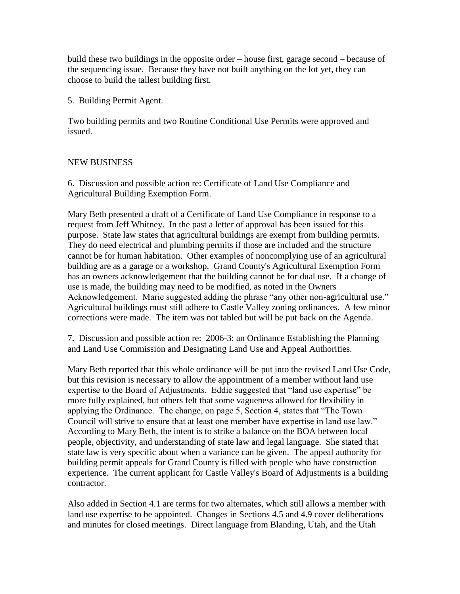build these two buildings in the opposite order – house first, garage second – because of the sequencing issue. Because they have not built anything on the lot yet, they can choose to build the tallest building first.

5. Building Permit Agent.

Two building permits and two Routine Conditional Use Permits were approved and issued.

# NEW BUSINESS

6. Discussion and possible action re: Certificate of Land Use Compliance and Agricultural Building Exemption Form.

Mary Beth presented a draft of a Certificate of Land Use Compliance in response to a request from Jeff Whitney. In the past a letter of approval has been issued for this purpose. State law states that agricultural buildings are exempt from building permits. They do need electrical and plumbing permits if those are included and the structure cannot be for human habitation. Other examples of noncomplying use of an agricultural building are as a garage or a workshop. Grand County's Agricultural Exemption Form has an owners acknowledgement that the building cannot be for dual use. If a change of use is made, the building may need to be modified, as noted in the Owners Acknowledgement. Marie suggested adding the phrase "any other non-agricultural use." Agricultural buildings must still adhere to Castle Valley zoning ordinances. A few minor corrections were made. The item was not tabled but will be put back on the Agenda.

7. Discussion and possible action re: 2006-3: an Ordinance Establishing the Planning and Land Use Commission and Designating Land Use and Appeal Authorities.

Mary Beth reported that this whole ordinance will be put into the revised Land Use Code, but this revision is necessary to allow the appointment of a member without land use expertise to the Board of Adjustments. Eddie suggested that "land use expertise" be more fully explained, but others felt that some vagueness allowed for flexibility in applying the Ordinance. The change, on page 5, Section 4, states that "The Town Council will strive to ensure that at least one member have expertise in land use law." According to Mary Beth, the intent is to strike a balance on the BOA between local people, objectivity, and understanding of state law and legal language. She stated that state law is very specific about when a variance can be given. The appeal authority for building permit appeals for Grand County is filled with people who have construction experience. The current applicant for Castle Valley's Board of Adjustments is a building contractor.

Also added in Section 4.1 are terms for two alternates, which still allows a member with land use expertise to be appointed. Changes in Sections 4.5 and 4.9 cover deliberations and minutes for closed meetings. Direct language from Blanding, Utah, and the Utah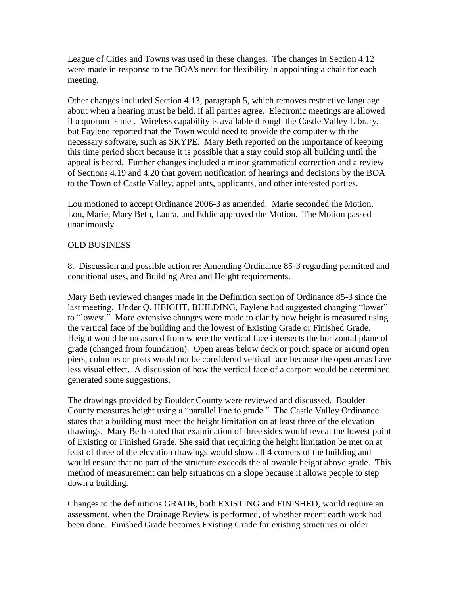League of Cities and Towns was used in these changes. The changes in Section 4.12 were made in response to the BOA's need for flexibility in appointing a chair for each meeting.

Other changes included Section 4.13, paragraph 5, which removes restrictive language about when a hearing must be held, if all parties agree. Electronic meetings are allowed if a quorum is met. Wireless capability is available through the Castle Valley Library, but Faylene reported that the Town would need to provide the computer with the necessary software, such as SKYPE. Mary Beth reported on the importance of keeping this time period short because it is possible that a stay could stop all building until the appeal is heard. Further changes included a minor grammatical correction and a review of Sections 4.19 and 4.20 that govern notification of hearings and decisions by the BOA to the Town of Castle Valley, appellants, applicants, and other interested parties.

Lou motioned to accept Ordinance 2006-3 as amended. Marie seconded the Motion. Lou, Marie, Mary Beth, Laura, and Eddie approved the Motion. The Motion passed unanimously.

## OLD BUSINESS

8. Discussion and possible action re: Amending Ordinance 85-3 regarding permitted and conditional uses, and Building Area and Height requirements.

Mary Beth reviewed changes made in the Definition section of Ordinance 85-3 since the last meeting. Under Q. HEIGHT, BUILDING, Faylene had suggested changing "lower" to "lowest." More extensive changes were made to clarify how height is measured using the vertical face of the building and the lowest of Existing Grade or Finished Grade. Height would be measured from where the vertical face intersects the horizontal plane of grade (changed from foundation). Open areas below deck or porch space or around open piers, columns or posts would not be considered vertical face because the open areas have less visual effect. A discussion of how the vertical face of a carport would be determined generated some suggestions.

The drawings provided by Boulder County were reviewed and discussed. Boulder County measures height using a "parallel line to grade." The Castle Valley Ordinance states that a building must meet the height limitation on at least three of the elevation drawings. Mary Beth stated that examination of three sides would reveal the lowest point of Existing or Finished Grade. She said that requiring the height limitation be met on at least of three of the elevation drawings would show all 4 corners of the building and would ensure that no part of the structure exceeds the allowable height above grade. This method of measurement can help situations on a slope because it allows people to step down a building.

Changes to the definitions GRADE, both EXISTING and FINISHED, would require an assessment, when the Drainage Review is performed, of whether recent earth work had been done. Finished Grade becomes Existing Grade for existing structures or older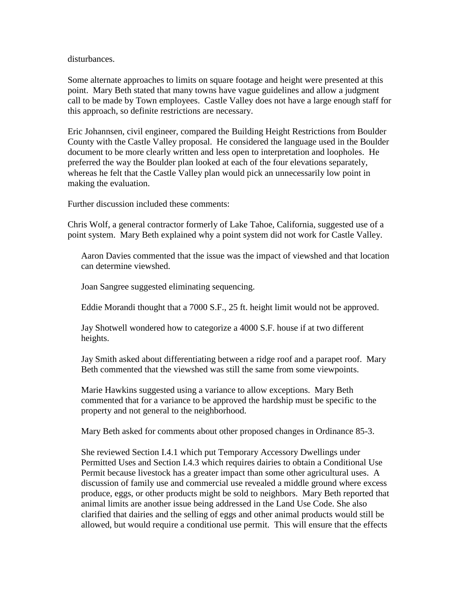disturbances.

Some alternate approaches to limits on square footage and height were presented at this point. Mary Beth stated that many towns have vague guidelines and allow a judgment call to be made by Town employees. Castle Valley does not have a large enough staff for this approach, so definite restrictions are necessary.

Eric Johannsen, civil engineer, compared the Building Height Restrictions from Boulder County with the Castle Valley proposal. He considered the language used in the Boulder document to be more clearly written and less open to interpretation and loopholes. He preferred the way the Boulder plan looked at each of the four elevations separately, whereas he felt that the Castle Valley plan would pick an unnecessarily low point in making the evaluation.

Further discussion included these comments:

Chris Wolf, a general contractor formerly of Lake Tahoe, California, suggested use of a point system. Mary Beth explained why a point system did not work for Castle Valley.

Aaron Davies commented that the issue was the impact of viewshed and that location can determine viewshed.

Joan Sangree suggested eliminating sequencing.

Eddie Morandi thought that a 7000 S.F., 25 ft. height limit would not be approved.

Jay Shotwell wondered how to categorize a 4000 S.F. house if at two different heights.

Jay Smith asked about differentiating between a ridge roof and a parapet roof. Mary Beth commented that the viewshed was still the same from some viewpoints.

Marie Hawkins suggested using a variance to allow exceptions. Mary Beth commented that for a variance to be approved the hardship must be specific to the property and not general to the neighborhood.

Mary Beth asked for comments about other proposed changes in Ordinance 85-3.

She reviewed Section I.4.1 which put Temporary Accessory Dwellings under Permitted Uses and Section I.4.3 which requires dairies to obtain a Conditional Use Permit because livestock has a greater impact than some other agricultural uses. A discussion of family use and commercial use revealed a middle ground where excess produce, eggs, or other products might be sold to neighbors. Mary Beth reported that animal limits are another issue being addressed in the Land Use Code. She also clarified that dairies and the selling of eggs and other animal products would still be allowed, but would require a conditional use permit. This will ensure that the effects